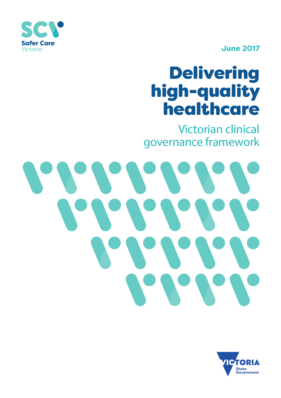

**June 2017**

# Delivering high-quality healthcare

Victorian clinical governance framework



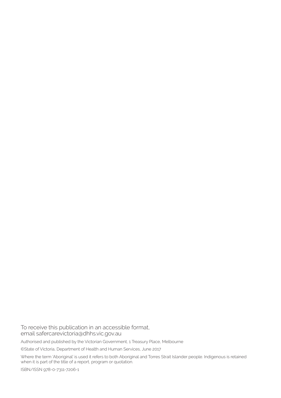To receive this publication in an accessible format, email safercarevictoria@dhhs.vic.gov.au

Authorised and published by the Victorian Government, 1 Treasury Place, Melbourne

©State of Victoria, Department of Health and Human Services, June 2017

Where the term 'Aboriginal' is used it refers to both Aboriginal and Torres Strait Islander people. Indigenous is retained when it is part of the title of a report, program or quotation.

ISBN/ISSN 978-0-7311-7206-1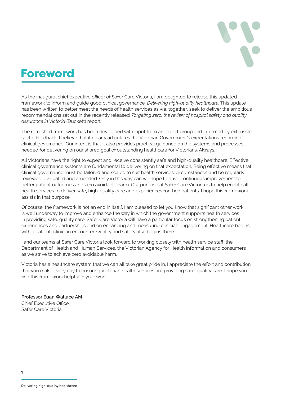

## Foreword

As the inaugural chief executive officer of Safer Care Victoria, I am delighted to release this updated framework to inform and guide good clinical governance*, Delivering high-quality healthcare*. This update has been written to better meet the needs of health services as we, together, seek to deliver the ambitious recommendations set out in the recently released *Targeting zero: the review of hospital safety and quality assurance in Victoria* (Duckett) report.

The refreshed framework has been developed with input from an expert group and informed by extensive sector feedback. I believe that it clearly articulates the Victorian Government's expectations regarding clinical governance. Our intent is that it also provides practical guidance on the systems and processes needed for delivering on our shared goal of outstanding healthcare for Victorians. Always.

All Victorians have the right to expect and receive consistently safe and high-quality healthcare. Effective clinical governance systems are fundamental to delivering on that expectation. Being effective means that clinical governance must be tailored and scaled to suit health services' circumstances and be regularly reviewed, evaluated and amended. Only in this way can we hope to drive continuous improvement to better patient outcomes and zero avoidable harm. Our purpose at Safer Care Victoria is to help enable all health services to deliver safe, high-quality care and experiences for their patients. I hope this framework assists in that purpose.

Of course, the framework is not an end in itself. I am pleased to let you know that significant other work is well underway to improve and enhance the way in which the government supports health services in providing safe, quality care. Safer Care Victoria will have a particular focus on strengthening patient experiences and partnerships and on enhancing and measuring clinician engagement. Healthcare begins with a patient–clinician encounter. Quality and safety also begins there.

I and our teams at Safer Care Victoria look forward to working closely with health service staff, the Department of Health and Human Services, the Victorian Agency for Health Information and consumers as we strive to achieve zero avoidable harm.

Victoria has a healthcare system that we can all take great pride in. I appreciate the effort and contribution that you make every day to ensuring Victorian health services are providing safe, quality care. I hope you find this framework helpful in your work.

**Professor Euan Wallace AM** Chief Executive Officer Safer Care Victoria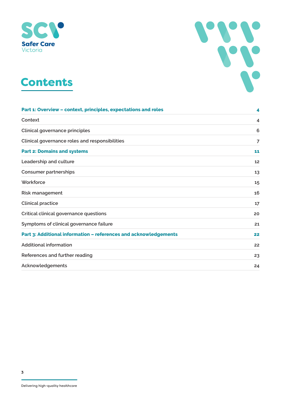





| Part 1: Overview - context, principles, expectations and roles   |    |
|------------------------------------------------------------------|----|
| Context                                                          | 4  |
| Clinical governance principles                                   | 6  |
| Clinical governance roles and responsibilities                   | 7  |
| <b>Part 2: Domains and systems</b>                               | 11 |
| Leadership and culture                                           | 12 |
| <b>Consumer partnerships</b>                                     | 13 |
| Workforce                                                        | 15 |
| Risk management                                                  | 16 |
| <b>Clinical practice</b>                                         | 17 |
| Critical clinical governance questions                           | 20 |
| Symptoms of clinical governance failure                          | 21 |
| Part 3: Additional information - references and acknowledgements | 22 |
| <b>Additional information</b>                                    | 22 |
| References and further reading                                   | 23 |
| Acknowledgements                                                 | 24 |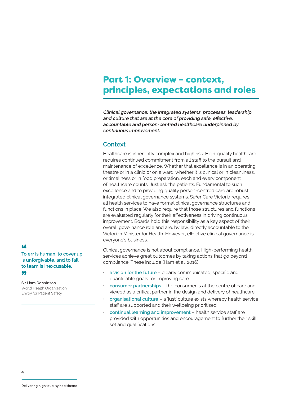## Part 1: Overview – context, principles, expectations and roles

**Clinical governance: the integrated systems, processes, leadership and culture that are at the core of providing safe, effective, accountable and person-centred healthcare underpinned by continuous improvement.**

## **Context**

Healthcare is inherently complex and high risk. High-quality healthcare requires continued commitment from all staff to the pursuit and maintenance of excellence. Whether that excellence is in an operating theatre or in a clinic or on a ward, whether it is clinical or in cleanliness, or timeliness or in food preparation, each and every component of healthcare counts. Just ask the patients. Fundamental to such excellence and to providing quality person-centred care are robust, integrated clinical governance systems. Safer Care Victoria requires all health services to have formal clinical governance structures and functions in place. We also require that those structures and functions are evaluated regularly for their effectiveness in driving continuous improvement. Boards hold this responsibility as a key aspect of their overall governance role and are, by law, directly accountable to the Victorian Minister for Health. However, effective clinical governance is everyone's business.

Clinical governance is not about compliance. High-performing health services achieve great outcomes by taking actions that go beyond compliance. These include (Ham et al. 2016):

- **a vision for the future** clearly communicated, specific and quantifiable goals for improving care
- **consumer partnerships** the consumer is at the centre of care and viewed as a critical partner in the design and delivery of healthcare
- **organisational culture** a 'just' culture exists whereby health service staff are supported and their wellbeing prioritised
- **continual learning and improvement** health service staff are provided with opportunities and encouragement to further their skill set and qualifications

## "

**To err is human, to cover up is unforgivable, and to fail to learn is inexcusable.** 99

**Sir Liam Donaldson**  World Health Organization Envoy for Patient Safety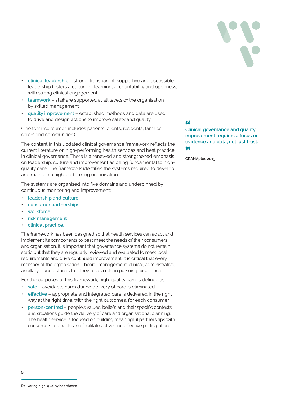

- **clinical leadership** strong, transparent, supportive and accessible leadership fosters a culture of learning, accountability and openness, with strong clinical engagement
- **teamwork** staff are supported at all levels of the organisation by skilled management
- **quality improvement** established methods and data are used to drive and design actions to improve safety and quality.

(The term 'consumer' includes patients, clients, residents, families, carers and communities.)

The content in this updated clinical governance framework reflects the current literature on high-performing health services and best practice in clinical governance. There is a renewed and strengthened emphasis on leadership, culture and improvement as being fundamental to highquality care. The framework identifies the systems required to develop and maintain a high-performing organisation.

The systems are organised into five domains and underpinned by continuous monitoring and improvement:

- **leadership and culture**
- **consumer partnerships**
- **workforce**
- **risk management**
- **clinical practice.**

The framework has been designed so that health services can adapt and implement its components to best meet the needs of their consumers and organisation. It is important that governance systems do not remain static but that they are regularly reviewed and evaluated to meet local requirements and drive continued improvement. It is critical that every member of the organisation – board, management, clinical, administrative, ancillary – understands that they have a role in pursuing excellence.

For the purposes of this framework, high-quality care is defined as:

- safe avoidable harm during delivery of care is eliminated
- **effective** appropriate and integrated care is delivered in the right way at the right time, with the right outcomes, for each consumer
- **person-centred** people's values, beliefs and their specific contexts and situations guide the delivery of care and organisational planning. The health service is focused on building meaningful partnerships with consumers to enable and facilitate active and effective participation.

**66**<br>Clinical governance and quality **improvement requires a focus on evidence and data, not just trust.** 99

**CRANAplus 2013**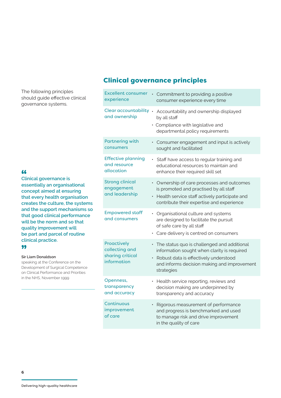The following principles should guide effective clinical governance systems.

**66**<br>Clinical governance is **essentially an organisational concept aimed at ensuring that every health organisation creates the culture, the systems and the support mechanisms so that good clinical performance will be the norm and so that quality improvement will be part and parcel of routine clinical practice.** 99

## **Sir Liam Donaldson**

speaking at the Conference on the Development of Surgical Competence on Clinical Performance and Priorities in the NHS, November 1999

## Clinical governance principles

| <b>Excellent consumer</b><br>experience                          | Commitment to providing a positive<br>consumer experience every time                                                                                                                               |
|------------------------------------------------------------------|----------------------------------------------------------------------------------------------------------------------------------------------------------------------------------------------------|
| Clear accountability .<br>and ownership                          | Accountability and ownership displayed<br>by all staff<br>· Compliance with legislative and<br>departmental policy requirements                                                                    |
| <b>Partnering with</b><br>consumers                              | Consumer engagement and input is actively<br>$\bullet$<br>sought and facilitated                                                                                                                   |
| <b>Effective planning</b><br>and resource<br>allocation          | · Staff have access to regular training and<br>educational resources to maintain and<br>enhance their required skill set                                                                           |
| <b>Strong clinical</b><br>engagement<br>and leadership           | • Ownership of care processes and outcomes<br>is promoted and practised by all staff<br>• Health service staff actively participate and<br>contribute their expertise and experience               |
| <b>Empowered staff</b><br>and consumers                          | • Organisational culture and systems<br>are designed to facilitate the pursuit<br>of safe care by all staff<br>Care delivery is centred on consumers                                               |
| Proactively<br>collecting and<br>sharing critical<br>information | • The status quo is challenged and additional<br>information sought when clarity is required<br>Robust data is effectively understood<br>and informs decision making and improvement<br>strategies |
| Openness,<br>transparency<br>and accuracy                        | • Health service reporting, reviews and<br>decision making are underpinned by<br>transparency and accuracy                                                                                         |
| <b>Continuous</b><br>improvement<br>of care                      | Rigorous measurement of performance<br>and progress is benchmarked and used<br>to manage risk and drive improvement<br>in the quality of care                                                      |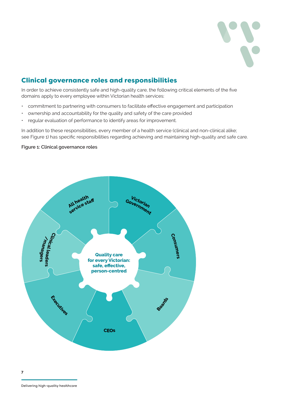

## Clinical governance roles and responsibilities

In order to achieve consistently safe and high-quality care, the following critical elements of the five domains apply to every employee within Victorian health services:

- commitment to partnering with consumers to facilitate effective engagement and participation
- ownership and accountability for the quality and safety of the care provided
- regular evaluation of performance to identify areas for improvement.

In addition to these responsibilities, every member of a health service (clinical and non-clinical alike; see Figure 1) has specific responsibilities regarding achieving and maintaining high-quality and safe care.

### **Figure 1: Clinical governance roles**

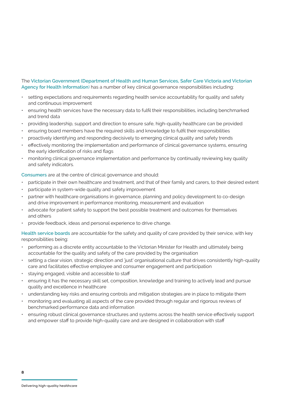## The **Victorian Government (Department of Health and Human Services, Safer Care Victoria and Victorian Agency for Health Information**) has a number of key clinical governance responsibilities including:

- setting expectations and requirements regarding health service accountability for quality and safety and continuous improvement
- ensuring health services have the necessary data to fulfil their responsibilities, including benchmarked and trend data
- providing leadership, support and direction to ensure safe, high-quality healthcare can be provided
- ensuring board members have the required skills and knowledge to fulfil their responsibilities
- proactively identifying and responding decisively to emerging clinical quality and safety trends
- effectively monitoring the implementation and performance of clinical governance systems, ensuring the early identification of risks and flags
- monitoring clinical governance implementation and performance by continually reviewing key quality and safety indicators.

**Consumers** are at the centre of clinical governance and should:

- participate in their own healthcare and treatment, and that of their family and carers, to their desired extent
- participate in system-wide quality and safety improvement
- partner with healthcare organisations in governance, planning and policy development to co-design and drive improvement in performance monitoring, measurement and evaluation
- advocate for patient safety to support the best possible treatment and outcomes for themselves and others
- provide feedback, ideas and personal experience to drive change.

**Health service boards** are accountable for the safety and quality of care provided by their service, with key responsibilities being:

- performing as a discrete entity accountable to the Victorian Minister for Health and ultimately being accountable for the quality and safety of the care provided by the organisation
- setting a clear vision, strategic direction and 'just' organisational culture that drives consistently high-quality care and facilitates effective employee and consumer engagement and participation
- staying engaged, visible and accessible to staff
- ensuring it has the necessary skill set, composition, knowledge and training to actively lead and pursue quality and excellence in healthcare
- understanding key risks and ensuring controls and mitigation strategies are in place to mitigate them
- monitoring and evaluating all aspects of the care provided through regular and rigorous reviews of benchmarked performance data and information
- ensuring robust clinical governance structures and systems across the health service effectively support and empower staff to provide high-quality care and are designed in collaboration with staff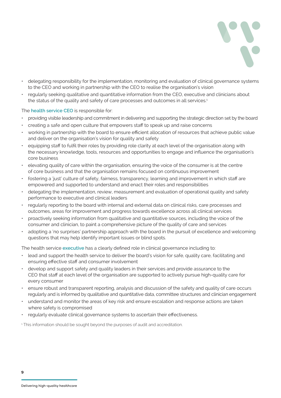

- delegating responsibility for the implementation, monitoring and evaluation of clinical governance systems to the CEO and working in partnership with the CEO to realise the organisation's vision
- regularly seeking qualitative and quantitative information from the CEO, executive and clinicians about the status of the quality and safety of care processes and outcomes in all services.<sup>1</sup>

### The **health service CEO** is responsible for:

- providing visible leadership and commitment in delivering and supporting the strategic direction set by the board
- creating a safe and open culture that empowers staff to speak up and raise concerns
- working in partnership with the board to ensure efficient allocation of resources that achieve public value and deliver on the organisation's vision for quality and safety
- equipping staff to fulfil their roles by providing role clarity at each level of the organisation along with the necessary knowledge, tools, resources and opportunities to engage and influence the organisation's core business
- elevating quality of care within the organisation, ensuring the voice of the consumer is at the centre of core business and that the organisation remains focused on continuous improvement
- fostering a 'just' culture of safety, fairness, transparency, learning and improvement in which staff are empowered and supported to understand and enact their roles and responsibilities
- delegating the implementation, review, measurement and evaluation of operational quality and safety performance to executive and clinical leaders
- regularly reporting to the board with internal and external data on clinical risks, care processes and outcomes, areas for improvement and progress towards excellence across all clinical services
- proactively seeking information from qualitative and quantitative sources, including the voice of the consumer and clinician, to paint a comprehensive picture of the quality of care and services
- adopting a 'no surprises' partnership approach with the board in the pursuit of excellence and welcoming questions that may help identify important issues or blind spots.

The health service **executive** has a clearly defined role in clinical governance including to:

- lead and support the health service to deliver the board's vision for safe, quality care, facilitating and ensuring effective staff and consumer involvement
- develop and support safety and quality leaders in their services and provide assurance to the CEO that staff at each level of the organisation are supported to actively pursue high-quality care for every consumer
- ensure robust and transparent reporting, analysis and discussion of the safety and quality of care occurs regularly and is informed by qualitative and quantitative data, committee structures and clinician engagement
- understand and monitor the areas of key risk and ensure escalation and response actions are taken where safety is compromised
- regularly evaluate clinical governance systems to ascertain their effectiveness.

1 This information should be sought beyond the purposes of audit and accreditation.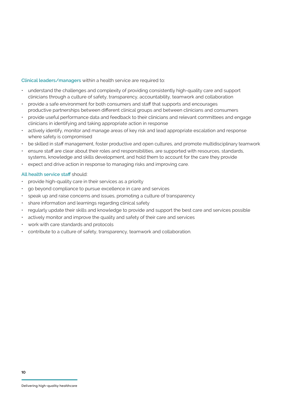### **Clinical leaders/managers** within a health service are required to:

- understand the challenges and complexity of providing consistently high-quality care and support clinicians through a culture of safety, transparency, accountability, teamwork and collaboration
- provide a safe environment for both consumers and staff that supports and encourages productive partnerships between different clinical groups and between clinicians and consumers
- provide useful performance data and feedback to their clinicians and relevant committees and engage clinicians in identifying and taking appropriate action in response
- actively identify, monitor and manage areas of key risk and lead appropriate escalation and response where safety is compromised
- be skilled in staff management, foster productive and open cultures, and promote multidisciplinary teamwork
- ensure staff are clear about their roles and responsibilities, are supported with resources, standards, systems, knowledge and skills development, and hold them to account for the care they provide
- expect and drive action in response to managing risks and improving care.

## **All health service staff** should:

- provide high-quality care in their services as a priority
- go beyond compliance to pursue excellence in care and services
- speak up and raise concerns and issues, promoting a culture of transparency
- share information and learnings regarding clinical safety
- regularly update their skills and knowledge to provide and support the best care and services possible
- actively monitor and improve the quality and safety of their care and services
- work with care standards and protocols
- contribute to a culture of safety, transparency, teamwork and collaboration.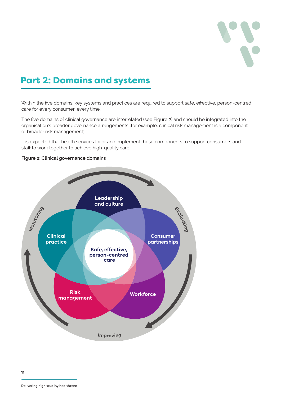

## Part 2: Domains and systems

Within the five domains, key systems and practices are required to support safe, effective, person-centred care for every consumer, every time.

The five domains of clinical governance are interrelated (see Figure 2) and should be integrated into the organisation's broader governance arrangements (for example, clinical risk management is a component of broader risk management).

It is expected that health services tailor and implement these components to support consumers and staff to work together to achieve high-quality care.

### **Figure 2: Clinical governance domains**

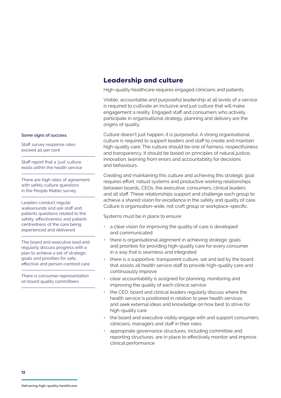## Leadership and culture

High-quality healthcare requires engaged clinicians and patients.

Visible, accountable and purposeful leadership at all levels of a service is required to cultivate an inclusive and just culture that will make engagement a reality. Engaged staff and consumers who actively participate in organisational strategy, planning and delivery are the origins of quality.

Culture doesn't just happen; it is purposeful. A strong organisational culture is required to support leaders and staff to create and maintain high-quality care. The culture should be one of fairness, respectfulness and transparency. It should be based on principles of natural justice, innovation, learning from errors and accountability for decisions and behaviours.

Creating and maintaining this culture and achieving this strategic goal requires effort, robust systems and productive working relationships between boards, CEOs, the executive, consumers, clinical leaders and all staff. These relationships support and challenge each group to achieve a shared vision for excellence in the safety and quality of care. Culture is organisation-wide, not craft group or workplace-specific.

Systems must be in place to ensure:

- a clear vision for improving the quality of care is developed and communicated
- there is organisational alignment in achieving strategic goals and priorities for providing high-quality care for every consumer in a way that is seamless and integrated
- there is a supportive, transparent culture, set and led by the board that assists all health service staff to provide high-quality care and continuously improve
- clear accountability is assigned for planning, monitoring and improving the quality of each clinical service
- the CEO, board and clinical leaders regularly discuss where the health service is positioned in relation to peer health services and seek external ideas and knowledge on how best to strive for high-quality care
- the board and executive visibly engage with and support consumers, clinicians, managers and staff in their roles
- appropriate governance structures, including committee and reporting structures, are in place to effectively monitor and improve clinical performance

#### **Some signs of success**

Staff survey response rates exceed 40 per cent

Staff report that a 'just' culture exists within the health service

There are high rates of agreement with safety culture questions in the People Matter survey

Leaders conduct regular walkarounds and ask staff and patients questions related to the safety, effectiveness and patientcentredness of the care being experienced and delivered

The board and executive lead and regularly discuss progress with a plan to achieve a set of strategic goals and priorities for safe, effective and person-centred care

There is consumer representation on board quality committees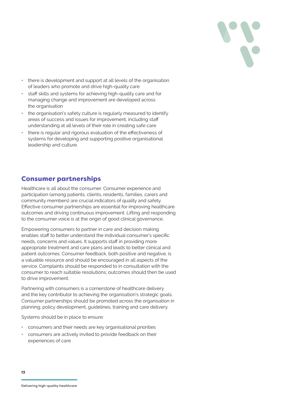

- there is development and support at all levels of the organisation of leaders who promote and drive high-quality care
- staff skills and systems for achieving high-quality care and for managing change and improvement are developed across the organisation
- the organisation's safety culture is regularly measured to identify areas of success and issues for improvement, including staff understanding at all levels of their role in creating safe care
- there is regular and rigorous evaluation of the effectiveness of systems for developing and supporting positive organisational leadership and culture.

## Consumer partnerships

Healthcare is all about the consumer. Consumer experience and participation (among patients, clients, residents, families, carers and community members) are crucial indicators of quality and safety. Effective consumer partnerships are essential for improving healthcare outcomes and driving continuous improvement. Lifting and responding to the consumer voice is at the origin of good clinical governance.

Empowering consumers to partner in care and decision making enables staff to better understand the individual consumer's specific needs, concerns and values. It supports staff in providing more appropriate treatment and care plans and leads to better clinical and patient outcomes. Consumer feedback, both positive and negative, is a valuable resource and should be encouraged in all aspects of the service. Complaints should be responded to in consultation with the consumer to reach suitable resolutions; outcomes should then be used to drive improvement.

Partnering with consumers is a cornerstone of healthcare delivery and the key contributor to achieving the organisation's strategic goals. Consumer partnerships should be promoted across the organisation in planning, policy development, guidelines, training and care delivery.

Systems should be in place to ensure:

- consumers and their needs are key organisational priorities
- consumers are actively invited to provide feedback on their experiences of care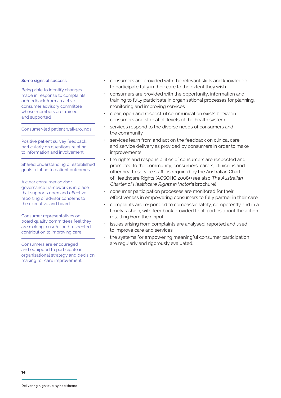#### **Some signs of success**

Being able to identify changes made in response to complaints or feedback from an active consumer advisory committee whose members are trained and supported

Consumer-led patient walkarounds

Positive patient survey feedback, particularly on questions relating to information and involvement

Shared understanding of established goals relating to patient outcomes

A clear consumer advisor governance framework is in place that supports open and effective reporting of advisor concerns to the executive and board

Consumer representatives on board quality committees feel they are making a useful and respected contribution to improving care

Consumers are encouraged and equipped to participate in organisational strategy and decision making for care improvement

- consumers are provided with the relevant skills and knowledge to participate fully in their care to the extent they wish
- consumers are provided with the opportunity, information and training to fully participate in organisational processes for planning, monitoring and improving services
- clear, open and respectful communication exists between consumers and staff at all levels of the health system
- services respond to the diverse needs of consumers and the community
- services learn from and act on the feedback on clinical care and service delivery as provided by consumers in order to make improvements
- the rights and responsibilities of consumers are respected and promoted to the community, consumers, carers, clinicians and other health service staff, as required by the Australian Charter of Healthcare Rights (ACSQHC 2008) (see also The Australian Charter of Healthcare Rights in Victoria brochure)
- consumer participation processes are monitored for their effectiveness in empowering consumers to fully partner in their care
- complaints are responded to compassionately, competently and in a timely fashion, with feedback provided to all parties about the action resulting from their input
- issues arising from complaints are analysed, reported and used to improve care and services
- the systems for empowering meaningful consumer participation are regularly and rigorously evaluated.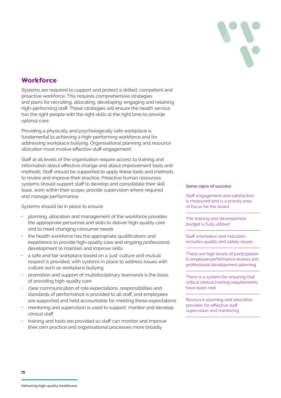

## **Workforce**

Systems are required to support and protect a skilled, competent and proactive workforce. This requires comprehensive strategies and plans for recruiting, allocating, developing, engaging and retaining high-performing staff. These strategies will ensure the health service has the right people with the right skills at the right time to provide optimal care.

Providing a physically and psychologically safe workplace is fundamental to achieving a high-performing workforce and for addressing workplace bullying. Organisational planning and resource allocation must involve effective staff engagement.

Staff at all levels of the organisation require access to training and information about effective change and about improvement tools and methods. Staff should be supported to apply these tools and methods to review and improve their practice. Proactive human resources systems should support staff to develop and consolidate their skill base, work within their scope, provide supervision where required and manage performance.

Systems should be in place to ensure:

- planning, allocation and management of the workforce provides the appropriate personnel and skills to deliver high-quality care and to meet changing consumer needs
- the health workforce has the appropriate qualifications and experience to provide high-quality care and ongoing professional development to maintain and improve skills
- a safe and fair workplace based on a 'just' culture and mutual respect is provided, with systems in place to address issues with culture such as workplace bullying
- promotion and support of multidisciplinary teamwork is the basis of providing high-quality care
- clear communication of role expectations, responsibilities and standards of performance is provided to all staff, and employees are supported and held accountable for meeting these expectations
- mentoring and supervision is used to support, monitor and develop clinical staff
- training and tools are provided so staff can monitor and improve their own practice and organisational processes more broadly

#### **Some signs of success**

Staff engagement and satisfaction is measured and is a priority area of focus for the board

The training and development budget is fully utilised

Staff orientation and induction includes quality and safety issues

There are high levels of participation in employee performance reviews and professional development planning

There is a system for ensuring that critical clinical training requirements have been met

Resource planning and allocation provides for effective staff supervision and mentoring

**15**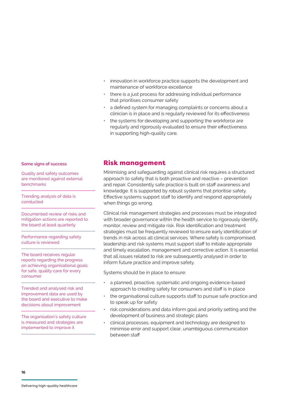- innovation in workforce practice supports the development and maintenance of workforce excellence
- there is a just process for addressing individual performance that prioritises consumer safety
- a defined system for managing complaints or concerns about a clinician is in place and is regularly reviewed for its effectiveness
- the systems for developing and supporting the workforce are regularly and rigorously evaluated to ensure their effectiveness in supporting high-quality care.

#### **Some signs of success**

Quality and safety outcomes are monitored against external benchmarks

Trending analysis of data is conducted

Documented review of risks and mitigation actions are reported to the board at least quarterly

Performance regarding safety culture is reviewed

The board receives regular reports regarding the progress on achieving organisational goals for safe, quality care for every consumer

Trended and analysed risk and improvement data are used by the board and executive to make decisions about improvement

The organisation's safety culture is measured and strategies are implemented to improve it

## Risk management

Minimising and safeguarding against clinical risk requires a structured approach to safety that is both proactive and reactive – prevention and repair. Consistently safe practice is built on staff awareness and knowledge. It is supported by robust systems that prioritise safety. Effective systems support staff to identify and respond appropriately when things go wrong.

Clinical risk management strategies and processes must be integrated with broader governance within the health service to rigorously identify, monitor, review and mitigate risk. Risk identification and treatment strategies must be frequently reviewed to ensure early identification of trends in risk across all clinical services. Where safety is compromised, leadership and risk systems must support staff to initiate appropriate and timely escalation, management and corrective action. It is essential that all issues related to risk are subsequently analysed in order to inform future practice and improve safety.

Systems should be in place to ensure:

- a planned, proactive, systematic and ongoing evidence-based approach to creating safety for consumers and staff is in place
- the organisational culture supports staff to pursue safe practice and to speak up for safety
- risk considerations and data inform goal and priority setting and the development of business and strategic plans
- clinical processes, equipment and technology are designed to minimise error and support clear, unambiguous communication between staff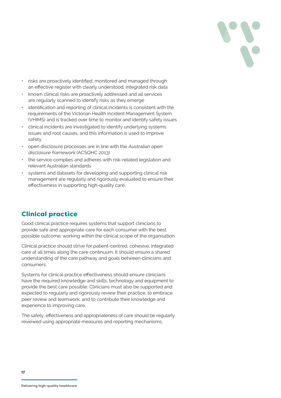

- risks are proactively identified, monitored and managed through an effective register with clearly understood, integrated risk data
- known clinical risks are proactively addressed and all services are regularly scanned to identify risks as they emerge
- identification and reporting of clinical incidents is consistent with the requirements of the Victorian Health Incident Management System (VHIMS) and is tracked over time to monitor and identify safety issues
- clinical incidents are investigated to identify underlying systems issues and root causes, and this information is used to improve safety
- open disclosure processes are in line with the Australian open disclosure framework (ACSQHC 2013)
- the service complies and adheres with risk-related legislation and relevant Australian standards
- systems and datasets for developing and supporting clinical risk management are regularly and rigorously evaluated to ensure their effectiveness in supporting high-quality care.

## Clinical practice

Good clinical practice requires systems that support clinicians to provide safe and appropriate care for each consumer with the best possible outcome, working within the clinical scope of the organisation.

Clinical practice should strive for patient-centred, cohesive, integrated care at all times along the care continuum. It should ensure a shared understanding of the care pathway and goals between clinicians and consumers.

Systems for clinical practice effectiveness should ensure clinicians have the required knowledge and skills, technology and equipment to provide the best care possible. Clinicians must also be supported and expected to regularly and rigorously review their practice, to embrace peer review and teamwork, and to contribute their knowledge and experience to improving care.

The safety, effectiveness and appropriateness of care should be regularly reviewed using appropriate measures and reporting mechanisms.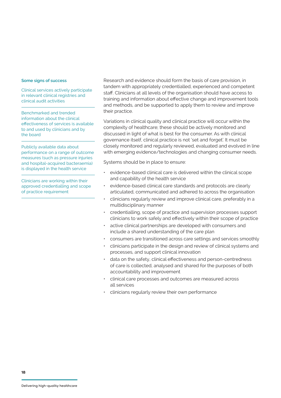#### **Some signs of success**

Clinical services actively participate in relevant clinical registries and clinical audit activities

Benchmarked and trended information about the clinical effectiveness of services is available to and used by clinicians and by the board

Publicly available data about performance on a range of outcome measures (such as pressure injuries and hospital-acquired bacteraemia) is displayed in the health service

Clinicians are working within their approved credentialling and scope of practice requirement

Research and evidence should form the basis of care provision, in tandem with appropriately credentialled, experienced and competent staff. Clinicians at all levels of the organisation should have access to training and information about effective change and improvement tools and methods, and be supported to apply them to review and improve their practice.

Variations in clinical quality and clinical practice will occur within the complexity of healthcare; these should be actively monitored and discussed in light of what is best for the consumer. As with clinical governance itself, clinical practice is not 'set and forget'. It must be closely monitored and regularly reviewed, evaluated and evolved in line with emerging evidence/technologies and changing consumer needs.

Systems should be in place to ensure:

- evidence-based clinical care is delivered within the clinical scope and capability of the health service
- evidence-based clinical care standards and protocols are clearly articulated, communicated and adhered to across the organisation
- clinicians regularly review and improve clinical care, preferably in a multidisciplinary manner
- credentialling, scope of practice and supervision processes support clinicians to work safely and effectively within their scope of practice
- active clinical partnerships are developed with consumers and include a shared understanding of the care plan
- consumers are transitioned across care settings and services smoothly
- clinicians participate in the design and review of clinical systems and processes, and support clinical innovation
- data on the safety, clinical effectiveness and person-centredness of care is collected, analysed and shared for the purposes of both accountability and improvement
- clinical care processes and outcomes are measured across all services
- clinicians regularly review their own performance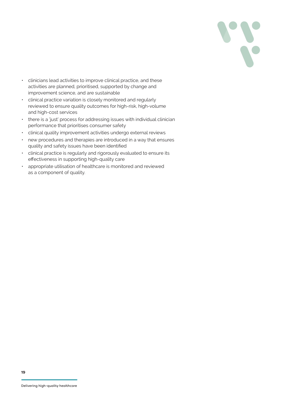

- clinicians lead activities to improve clinical practice, and these activities are planned, prioritised, supported by change and improvement science, and are sustainable
- clinical practice variation is closely monitored and regularly reviewed to ensure quality outcomes for high-risk, high-volume and high-cost services
- there is a 'just' process for addressing issues with individual clinician performance that prioritises consumer safety
- clinical quality improvement activities undergo external reviews
- new procedures and therapies are introduced in a way that ensures quality and safety issues have been identified
- clinical practice is regularly and rigorously evaluated to ensure its effectiveness in supporting high-quality care
- appropriate utilisation of healthcare is monitored and reviewed as a component of quality.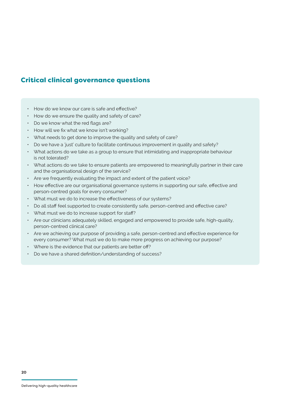## Critical clinical governance questions

- How do we know our care is safe and effective?
- How do we ensure the quality and safety of care?
- Do we know what the red flags are?
- How will we fix what we know isn't working?
- What needs to get done to improve the quality and safety of care?
- Do we have a 'just' culture to facilitate continuous improvement in quality and safety?
- What actions do we take as a group to ensure that intimidating and inappropriate behaviour is not tolerated?
- What actions do we take to ensure patients are empowered to meaningfully partner in their care and the organisational design of the service?
- Are we frequently evaluating the impact and extent of the patient voice?
- How effective are our organisational governance systems in supporting our safe, effective and person-centred goals for every consumer?
- What must we do to increase the effectiveness of our systems?
- Do all staff feel supported to create consistently safe, person-centred and effective care?
- What must we do to increase support for staff?
- Are our clinicians adequately skilled, engaged and empowered to provide safe, high-quality, person-centred clinical care?
- Are we achieving our purpose of providing a safe, person-centred and effective experience for every consumer? What must we do to make more progress on achieving our purpose?
- Where is the evidence that our patients are better off?
- Do we have a shared definition/understanding of success?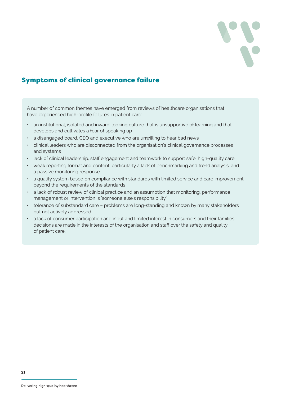

## Symptoms of clinical governance failure

A number of common themes have emerged from reviews of healthcare organisations that have experienced high-profile failures in patient care:

- an institutional, isolated and inward-looking culture that is unsupportive of learning and that develops and cultivates a fear of speaking up
- a disengaged board, CEO and executive who are unwilling to hear bad news
- clinical leaders who are disconnected from the organisation's clinical governance processes and systems
- lack of clinical leadership, staff engagement and teamwork to support safe, high-quality care
- weak reporting format and content, particularly a lack of benchmarking and trend analysis, and a passive monitoring response
- a quality system based on compliance with standards with limited service and care improvement beyond the requirements of the standards
- a lack of robust review of clinical practice and an assumption that monitoring, performance management or intervention is 'someone else's responsibility'
- tolerance of substandard care problems are long-standing and known by many stakeholders but not actively addressed
- a lack of consumer participation and input and limited interest in consumers and their families decisions are made in the interests of the organisation and staff over the safety and quality of patient care.

**21**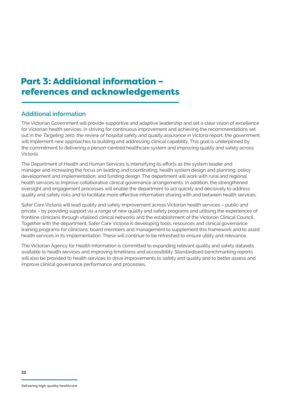## Part 3: Additional information – references and acknowledgements

## **Additional information**

The Victorian Government will provide supportive and adaptive leadership and set a clear vision of excellence for Victorian health services. In striving for continuous improvement and achieving the recommendations set out in the Targeting zero: the review of hospital safety and quality assurance in Victoria report, the government will implement new approaches to building and addressing clinical capability. This goal is underpinned by the commitment to delivering a person-centred healthcare system and improving quality and safety across Victoria.

The Department of Health and Human Services is intensifying its efforts as the system leader and manager and increasing the focus on leading and coordinating: health system design and planning; policy development and implementation; and funding design. The department will work with rural and regional health services to improve collaborative clinical governance arrangements. In addition, the strengthened oversight and engagement processes will enable the department to act quickly and decisively to address quality and safety risks and to facilitate more effective information sharing with and between health services.

Safer Care Victoria will lead quality and safety improvement across Victorian health services – public and private – by providing support via a range of new quality and safety programs and utilising the experiences of frontline clinicians through vitalised clinical networks and the establishment of the Victorian Clinical Council. Together with the department, Safer Care Victoria is developing tools, resources and clinical governance training programs for clinicians, board members and management to supplement this framework and to assist health services in its implementation. These will continue to be refreshed to ensure utility and relevance.

The Victorian Agency for Health Information is committed to expanding relevant quality and safety datasets available to health services and improving timeliness and accessibility. Standardised benchmarking reports will also be provided to health services to drive improvements to safety and quality and to better assess and improve clinical governance performance and processes.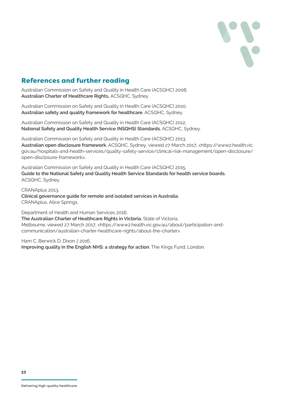

## References and further reading

Australian Commission on Safety and Quality in Health Care (ACSQHC) 2008, **Australian Charter of Healthcare Rights,** ACSQHC, Sydney.

Australian Commission on Safety and Quality in Health Care (ACSQHC) 2010, **Australian safety and quality framework for healthcare**, ACSQHC, Sydney.

Australian Commission on Safety and Quality in Health Care (ACSQHC) 2012, **National Safety and Quality Health Service (NSQHS) Standards**, ACSQHC, Sydney.

Australian Commission on Safety and Quality in Health Care (ACSQHC) 2013, **Australian open disclosure framework**, ACSQHC, Sydney, viewed 27 March 2017, <https://www2.health.vic. gov.au/hospitals-and-health-services/quality-safety-service/clinical-risk-management/open-disclosure/ open-disclosure-framework>.

Australian Commission on Safety and Quality in Health Care (ACSQHC) 2015, **Guide to the National Safety and Quality Health Service Standards for health service boards**, ACSQHC, Sydney.

CRANAplus 2013, **Clinical governance guide for remote and isolated services in Australia**, CRANAplus, Alice Springs.

Department of Health and Human Services 2016,

**The Australian Charter of Healthcare Rights in Victoria**, State of Victoria, Melbourne, viewed 27 March 2017, <https://www2.health.vic.gov.au/about/participation-andcommunication/australian-charter-healthcare-rights/about-the-charter>.

Ham C, Berwick D, Dixon J 2016, **Improving quality in the English NHS: a strategy for action**, The Kings Fund, London.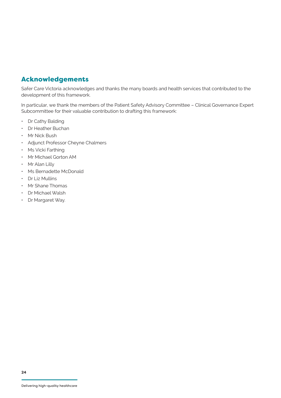## Acknowledgements

Safer Care Victoria acknowledges and thanks the many boards and health services that contributed to the development of this framework.

In particular, we thank the members of the Patient Safety Advisory Committee – Clinical Governance Expert Subcommittee for their valuable contribution to drafting this framework:

- Dr Cathy Balding
- Dr Heather Buchan
- Mr Nick Bush
- Adjunct Professor Cheyne Chalmers
- Ms Vicki Farthing
- Mr Michael Gorton AM
- Mr Alan Lilly
- Ms Bernadette McDonald
- Dr Liz Mullins
- Mr Shane Thomas
- Dr Michael Walsh
- Dr Margaret Way.